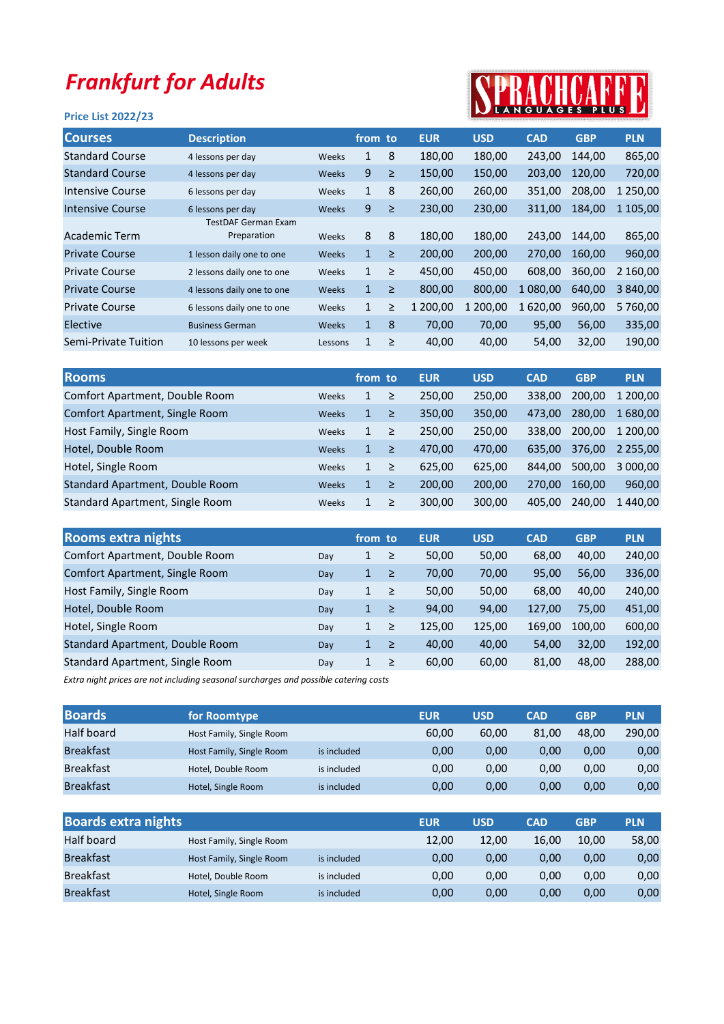## Frankfurt for Adults

## Price List 2022/23



| <b>Courses</b>         | <b>Description</b>         |              | from to      |        | <b>EUR</b> | <b>USD</b> | <b>CAD</b> | <b>GBP</b> | <b>PLN</b> |
|------------------------|----------------------------|--------------|--------------|--------|------------|------------|------------|------------|------------|
| <b>Standard Course</b> | 4 lessons per day          | <b>Weeks</b> | 1            | 8      | 180,00     | 180,00     | 243,00     | 144,00     | 865,00     |
| <b>Standard Course</b> | 4 lessons per day          | <b>Weeks</b> | 9            | $\geq$ | 150,00     | 150,00     | 203,00     | 120,00     | 720,00     |
| Intensive Course       | 6 lessons per day          | Weeks        | $\mathbf{1}$ | 8      | 260,00     | 260,00     | 351.00     | 208,00     | 1 250,00   |
| Intensive Course       | 6 lessons per day          | Weeks        | 9            | $\geq$ | 230,00     | 230,00     | 311,00     | 184,00     | 1 105,00   |
|                        | <b>TestDAF German Exam</b> |              |              |        |            |            |            |            |            |
| Academic Term          | Preparation                | Weeks        | 8            | 8      | 180,00     | 180,00     | 243.00     | 144,00     | 865,00     |
| <b>Private Course</b>  | 1 lesson daily one to one  | <b>Weeks</b> | $\mathbf{1}$ | $\geq$ | 200.00     | 200.00     | 270.00     | 160.00     | 960,00     |
| <b>Private Course</b>  | 2 lessons daily one to one | Weeks        | $\mathbf{1}$ | $\geq$ | 450,00     | 450,00     | 608,00     | 360,00     | 2 160,00   |
| <b>Private Course</b>  | 4 lessons daily one to one | <b>Weeks</b> | $\mathbf{1}$ | $\geq$ | 800,00     | 800,00     | 1 080.00   | 640,00     | 3 840,00   |
| <b>Private Course</b>  | 6 lessons daily one to one | Weeks        | $\mathbf{1}$ | ≥      | 1 200,00   | 1 200,00   | 1620,00    | 960,00     | 5760,00    |
| Elective               | <b>Business German</b>     | <b>Weeks</b> | 1            | 8      | 70,00      | 70,00      | 95,00      | 56,00      | 335,00     |
| Semi-Private Tuition   | 10 lessons per week        | Lessons      | 1            | ≥      | 40,00      | 40,00      | 54,00      | 32,00      | 190,00     |
|                        |                            |              |              |        |            |            |            |            |            |

| <b>Rooms</b>                             | from to      |        | <b>EUR</b> | <b>USD</b> | <b>CAD</b> | <b>GBP</b> | <b>PLN.</b> |
|------------------------------------------|--------------|--------|------------|------------|------------|------------|-------------|
| Comfort Apartment, Double Room<br>Weeks  | $\mathbf{1}$ | ≥      | 250,00     | 250,00     | 338.00     | 200.00     | 1 200,00    |
| Comfort Apartment, Single Room<br>Weeks  | $\mathbf{1}$ | $\geq$ | 350.00     | 350,00     | 473.00     | 280.00     | 1 680,00    |
| Host Family, Single Room<br>Weeks        | $\mathbf{1}$ | ≥      | 250,00     | 250,00     | 338.00     | 200.00     | 1 200,00    |
| Hotel, Double Room<br>Weeks              | $\mathbf{1}$ | ≥      | 470.00     | 470,00     | 635.00     | 376.00     | 2 2 5 5 .00 |
| Hotel, Single Room<br>Weeks              | $\mathbf{1}$ | ≥      | 625,00     | 625,00     | 844.00     | 500,00     | 3 000,00    |
| Standard Apartment, Double Room<br>Weeks | $\mathbf{1}$ | ≥      | 200.00     | 200,00     | 270.00     | 160.00     | 960,00      |
| Standard Apartment, Single Room<br>Weeks | $\mathbf{1}$ | ≥      | 300,00     | 300,00     | 405.00     | 240,00     | 1440,00     |

| <b>Rooms extra nights</b>       |     | from to      |        | <b>EUR</b> | <b>USD</b> | <b>CAD</b> | <b>GBP</b> | <b>PLN</b> |
|---------------------------------|-----|--------------|--------|------------|------------|------------|------------|------------|
| Comfort Apartment, Double Room  | Day | 1            | ≥      | 50,00      | 50,00      | 68,00      | 40,00      | 240,00     |
| Comfort Apartment, Single Room  | Day | 1            | ≥      | 70,00      | 70,00      | 95,00      | 56,00      | 336,00     |
| Host Family, Single Room        | Day | 1            | ≥      | 50,00      | 50,00      | 68,00      | 40,00      | 240,00     |
| Hotel, Double Room              | Day | 1            | $\geq$ | 94,00      | 94,00      | 127,00     | 75,00      | 451,00     |
| Hotel, Single Room              | Day | $\mathbf{1}$ | $\geq$ | 125,00     | 125,00     | 169.00     | 100.00     | 600,00     |
| Standard Apartment, Double Room | Day | 1            | $\geq$ | 40,00      | 40,00      | 54,00      | 32,00      | 192,00     |
| Standard Apartment, Single Room | Day | $\mathbf{1}$ | $\geq$ | 60,00      | 60,00      | 81,00      | 48,00      | 288,00     |

Extra night prices are not including seasonal surcharges and possible catering costs

| <b>Boards</b>    | for Roomtype             |             | <b>EUR</b> | <b>USD</b> | <b>CAD</b> | <b>GBP</b> | <b>PLN</b> |
|------------------|--------------------------|-------------|------------|------------|------------|------------|------------|
| Half board       | Host Family, Single Room |             | 60,00      | 60.00      | 81.00      | 48.00      | 290,00     |
| <b>Breakfast</b> | Host Family, Single Room | is included | 0.00       | 0,00       | 0.00       | 0.00       | 0,00       |
| <b>Breakfast</b> | Hotel, Double Room       | is included | 0.00       | 0,00       | 0.00       | 0.00       | 0,00       |
| <b>Breakfast</b> | Hotel, Single Room       | is included | 0,00       | 0,00       | 0.00       | 0,00       | 0,00       |

| <b>Boards extra nights</b> |                          |             | <b>EUR</b> | <b>USD</b> | <b>CAD</b> | <b>GBP</b> | <b>PLN</b> |
|----------------------------|--------------------------|-------------|------------|------------|------------|------------|------------|
| Half board                 | Host Family, Single Room |             | 12,00      | 12.00      | 16,00      | 10,00      | 58,00      |
| <b>Breakfast</b>           | Host Family, Single Room | is included | 0,00       | 0.00       | 0.00       | 0.00       | 0,00       |
| <b>Breakfast</b>           | Hotel, Double Room       | is included | 0,00       | 0.00       | 0.00       | 0.00       | 0,00       |
| <b>Breakfast</b>           | Hotel, Single Room       | is included | 0,00       | 0,00       | 0.00       | 0.00       | 0,00       |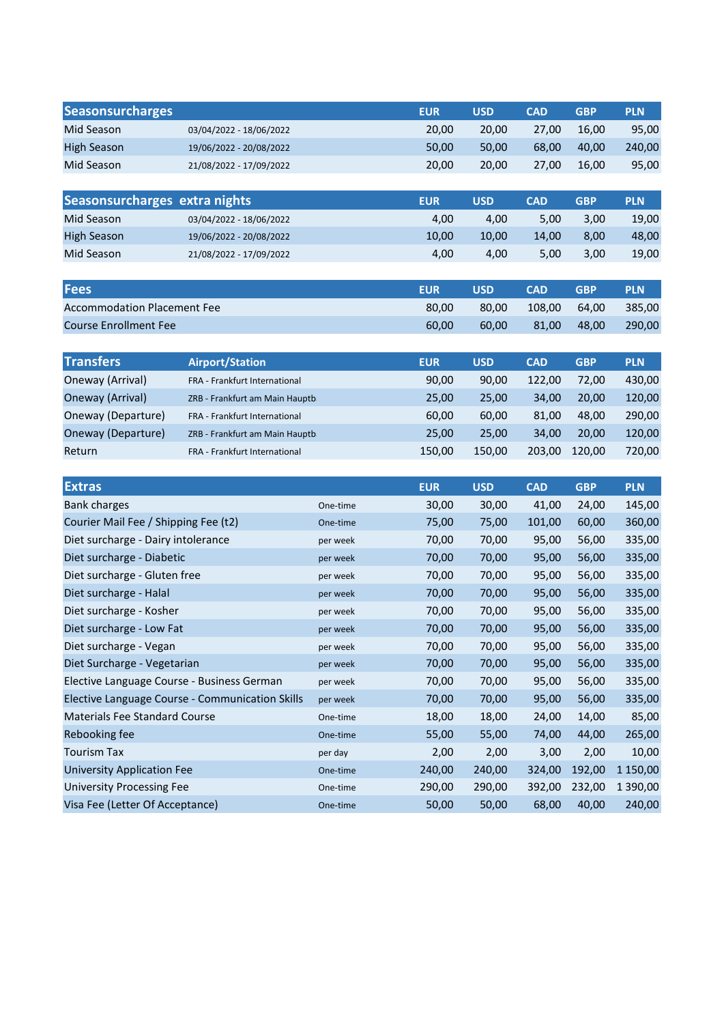| <b>Seasonsurcharges</b>                         |                                |          | <b>EUR</b> | <b>USD</b> | <b>CAD</b> | <b>GBP</b> | <b>PLN</b> |
|-------------------------------------------------|--------------------------------|----------|------------|------------|------------|------------|------------|
| Mid Season                                      | 03/04/2022 - 18/06/2022        |          | 20,00      | 20,00      | 27,00      | 16,00      | 95,00      |
| <b>High Season</b>                              | 19/06/2022 - 20/08/2022        |          | 50,00      | 50,00      | 68,00      | 40,00      | 240,00     |
| Mid Season                                      | 21/08/2022 - 17/09/2022        |          | 20,00      | 20,00      | 27,00      | 16,00      | 95,00      |
|                                                 |                                |          |            |            |            |            |            |
| Seasonsurcharges extra nights                   |                                |          | <b>EUR</b> | <b>USD</b> | <b>CAD</b> | <b>GBP</b> | <b>PLN</b> |
| Mid Season                                      | 03/04/2022 - 18/06/2022        |          | 4,00       | 4,00       | 5,00       | 3,00       | 19,00      |
| <b>High Season</b>                              | 19/06/2022 - 20/08/2022        |          | 10,00      | 10,00      | 14,00      | 8,00       | 48,00      |
| Mid Season                                      | 21/08/2022 - 17/09/2022        |          | 4,00       | 4,00       | 5,00       | 3,00       | 19,00      |
|                                                 |                                |          |            |            |            |            |            |
| <b>Fees</b>                                     |                                |          | <b>EUR</b> | <b>USD</b> | <b>CAD</b> | <b>GBP</b> | <b>PLN</b> |
| <b>Accommodation Placement Fee</b>              |                                |          | 80,00      | 80,00      | 108,00     | 64,00      | 385,00     |
| <b>Course Enrollment Fee</b>                    |                                |          | 60,00      | 60,00      | 81,00      | 48,00      | 290,00     |
|                                                 |                                |          |            |            |            |            |            |
| <b>Transfers</b>                                | <b>Airport/Station</b>         |          | <b>EUR</b> | <b>USD</b> | <b>CAD</b> | <b>GBP</b> | <b>PLN</b> |
| Oneway (Arrival)                                | FRA - Frankfurt International  |          | 90,00      | 90,00      | 122,00     | 72,00      | 430,00     |
| Oneway (Arrival)                                | ZRB - Frankfurt am Main Hauptb |          | 25,00      | 25,00      | 34,00      | 20,00      | 120,00     |
| Oneway (Departure)                              | FRA - Frankfurt International  |          | 60,00      | 60,00      | 81,00      | 48,00      | 290,00     |
| Oneway (Departure)                              | ZRB - Frankfurt am Main Hauptb |          | 25,00      | 25,00      | 34,00      | 20,00      | 120,00     |
| Return                                          | FRA - Frankfurt International  |          | 150,00     | 150,00     | 203,00     | 120,00     | 720,00     |
|                                                 |                                |          |            |            |            |            |            |
| <b>Extras</b>                                   |                                |          | <b>EUR</b> | <b>USD</b> | <b>CAD</b> | <b>GBP</b> | <b>PLN</b> |
| <b>Bank charges</b>                             |                                | One-time | 30,00      | 30,00      | 41,00      | 24,00      | 145,00     |
| Courier Mail Fee / Shipping Fee (t2)            |                                | One-time | 75,00      | 75,00      | 101,00     | 60,00      | 360,00     |
| Diet surcharge - Dairy intolerance              |                                | per week | 70,00      | 70,00      | 95,00      | 56,00      | 335,00     |
| Diet surcharge - Diabetic                       |                                | per week | 70,00      | 70,00      | 95,00      | 56,00      | 335,00     |
| Diet surcharge - Gluten free                    |                                | per week | 70,00      | 70,00      | 95,00      | 56,00      | 335,00     |
| Diet surcharge - Halal                          |                                | per week | 70,00      | 70,00      | 95,00      | 56,00      | 335,00     |
| Diet surcharge - Kosher                         |                                | per week | 70,00      | 70,00      | 95,00      | 56,00      | 335,00     |
| Diet surcharge - Low Fat                        |                                | per week | 70,00      | 70,00      | 95,00      | 56,00      | 335,00     |
| Diet surcharge - Vegan                          |                                | per week | 70,00      | 70,00      | 95,00      | 56,00      | 335,00     |
| Diet Surcharge - Vegetarian                     |                                | per week | 70,00      | 70,00      | 95,00      | 56,00      | 335,00     |
| Elective Language Course - Business German      |                                | per week | 70,00      | 70,00      | 95,00      | 56,00      | 335,00     |
| Elective Language Course - Communication Skills |                                | per week | 70,00      | 70,00      | 95,00      | 56,00      | 335,00     |
| Materials Fee Standard Course                   |                                | One-time | 18,00      | 18,00      | 24,00      | 14,00      | 85,00      |
| Rebooking fee                                   |                                | One-time | 55,00      | 55,00      | 74,00      | 44,00      | 265,00     |
| <b>Tourism Tax</b>                              |                                | per day  | 2,00       | 2,00       | 3,00       | 2,00       | 10,00      |
| <b>University Application Fee</b>               |                                |          |            |            |            |            |            |
|                                                 |                                | One-time | 240,00     | 240,00     | 324,00     | 192,00     | 1 150,00   |

Visa Fee (Letter Of Acceptance)

One-time 50,00 50,00 68,00 40,00 240,00